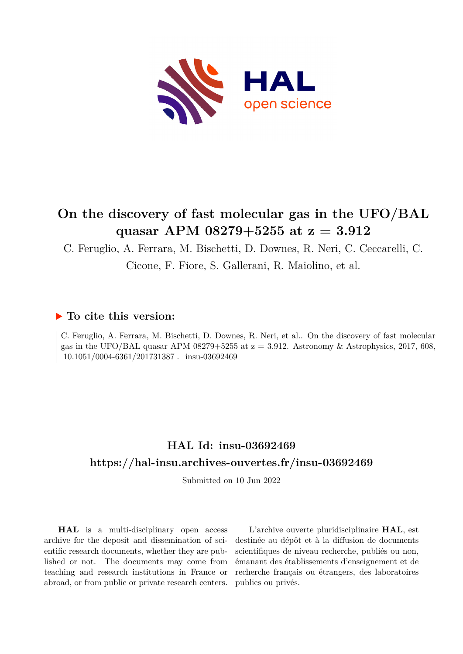

# **On the discovery of fast molecular gas in the UFO/BAL quasar APM 08279+5255 at z = 3.912**

C. Feruglio, A. Ferrara, M. Bischetti, D. Downes, R. Neri, C. Ceccarelli, C.

Cicone, F. Fiore, S. Gallerani, R. Maiolino, et al.

# **To cite this version:**

C. Feruglio, A. Ferrara, M. Bischetti, D. Downes, R. Neri, et al.. On the discovery of fast molecular gas in the UFO/BAL quasar APM 08279+5255 at  $z = 3.912$ . Astronomy & Astrophysics, 2017, 608, 10.1051/0004-6361/201731387. insu-03692469

# **HAL Id: insu-03692469 <https://hal-insu.archives-ouvertes.fr/insu-03692469>**

Submitted on 10 Jun 2022

**HAL** is a multi-disciplinary open access archive for the deposit and dissemination of scientific research documents, whether they are published or not. The documents may come from teaching and research institutions in France or abroad, or from public or private research centers.

L'archive ouverte pluridisciplinaire **HAL**, est destinée au dépôt et à la diffusion de documents scientifiques de niveau recherche, publiés ou non, émanant des établissements d'enseignement et de recherche français ou étrangers, des laboratoires publics ou privés.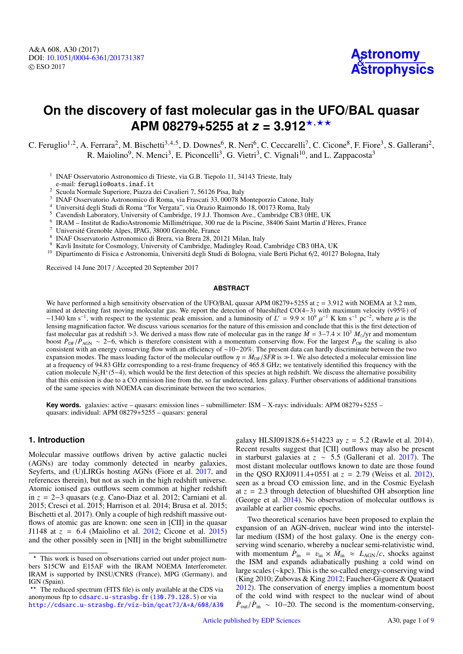# **On the discovery of fast molecular gas in the UFO/BAL quasar APM 08279+5255 at**  $z = 3.912$ **<sup>\*,\*\*</sup>**

C. Feruglio<sup>1,2</sup>, A. Ferrara<sup>2</sup>, M. Bischetti<sup>3,4,5</sup>, D. Downes<sup>6</sup>, R. Neri<sup>6</sup>, C. Ceccarelli<sup>7</sup>, C. Cicone<sup>8</sup>, F. Fiore<sup>3</sup>, S. Gallerani<sup>2</sup>, R. Maiolino<sup>9</sup>, N. Menci<sup>3</sup>, E. Piconcelli<sup>3</sup>, G. Vietri<sup>3</sup>, C. Vignali<sup>10</sup>, and L. Zappacosta<sup>3</sup>

- <sup>1</sup> INAF Osservatorio Astronomico di Trieste, via G.B. Tiepolo 11, 34143 Trieste, Italy e-mail: feruglio@oats.inaf.it
- <sup>2</sup> Scuola Normale Superiore, Piazza dei Cavalieri 7, 56126 Pisa, Italy
- <sup>3</sup> INAF Osservatorio Astronomico di Roma, via Frascati 33, 00078 Monteporzio Catone, Italy
- <sup>4</sup> Universitá degli Studi di Roma "Tor Vergata", via Orazio Raimondo 18, 00173 Roma, Italy
- <sup>5</sup> Cavendish Laboratory, University of Cambridge, 19 J.J. Thomson Ave., Cambridge CB3 0HE, UK
- 6 IRAM – Institut de RadioAstronomie Millimétrique, 300 rue de la Piscine, 38406 Saint Martin d'Hères, France
- <sup>7</sup> Université Grenoble Alpes, IPAG, 38000 Grenoble, France
- 8 INAF Osservatorio Astronomico di Brera, via Brera 28, 20121 Milan, Italy
- <sup>9</sup> Kavli Insitute for Cosmology, University of Cambridge, Madingley Road, Cambridge CB3 0HA, UK
- <sup>10</sup> Dipartimento di Fisica e Astronomia, Universitá degli Studi di Bologna, viale Berti Pichat 6/2, 40127 Bologna, Italy

Received 14 June 2017 / Accepted 20 September 2017

#### **ABSTRACT**

We have performed a high sensitivity observation of the UFO/BAL quasar APM 08279+5255 at  $z = 3.912$  with NOEMA at 3.2 mm, aimed at detecting fast moving molecular gas. We report the detection of blueshifted CO(4−3) with maximum velocity (v95%) of −1340 km s<sup>-1</sup>, with respect to the systemic peak emission, and a luminosity of *L'* = 9.9 × 10<sup>9</sup> μ<sup>-1</sup> K km s<sup>-1</sup> pc<sup>-2</sup>, where μ is the first detection of lensing magnification factor. We discuss various scenarios for the nature of this emission and conclude that this is the first detection of fast molecular gas at redshift >3. We derived a mass flow rate of molecular gas in the range  $\dot{M} = 3-7.4 \times 10^3$   $M_{\odot}/yr$  and momentum boost  $\dot{P}_{OF}/\dot{P}_{AGN} \sim 2-6$ , which is therefore consistent with a momentum conserving flow. For the largest  $\dot{P}_{OF}$  the scaling is also consistent with an energy conserving flow with an efficiency of ∼10−20%. The present data can hardly discriminate between the two expansion modes. The mass loading factor of the molecular outflow  $\eta = M_{\text{OF}}/SFR$  is  $\gg$ 1. We also detected a molecular emission line at a frequency of 94.83 GHz corresponding to a rest-frame frequency of 465.8 GHz; we tentatively identified this frequency with the cation molecule  $N_2H^+(5-4)$ , which would be the first detection of this species at high redshift. We discuss the alternative possibility that this emission is due to a CO emission line from the, so far undetected, lens galaxy. Further observations of additional transitions of the same species with NOEMA can discriminate between the two scenarios.

**Key words.** galaxies: active – quasars: emission lines – submillimeter: ISM – X-rays: individuals: APM 08279+5255 – quasars: individual: APM 08279+5255 – quasars: general

# **1. Introduction**

Molecular massive outflows driven by active galactic nuclei (AGNs) are today commonly detected in nearby galaxies, Seyferts, and (U)LIRGs hosting AGNs (Fiore et al. 2017, and references therein), but not as such in the high redshift universe. Atomic ionised gas outflows seem common at higher redshift in *z* = 2−3 quasars (e.g. Cano-Diaz et al. 2012; Carniani et al. 2015; Cresci et al. 2015; Harrison et al. 2014; Brusa et al. 2015; Bischetti et al. 2017). Only a couple of high redshift massive outflows of atomic gas are known: one seen in [CII] in the quasar J1148 at *<sup>z</sup>* <sup>=</sup> <sup>6</sup>.4 (Maiolino et al. 2012; Cicone et al. 2015) and the other possibly seen in [NII] in the bright submillimetre

galaxy HLSJ091828.6+514223 ay *<sup>z</sup>* <sup>=</sup> <sup>5</sup>.2 (Rawle et al. 2014). Recent results suggest that [CII] outflows may also be present in starburst galaxies at *<sup>z</sup>* <sup>∼</sup> <sup>5</sup>.5 (Gallerani et al. 2017). The most distant molecular outflows known to date are those found in the QSO RXJ0911.4+0551 at *<sup>z</sup>* <sup>=</sup> <sup>2</sup>.79 (Weiss et al. 2012), seen as a broad CO emission line, and in the Cosmic Eyelash at  $z = 2.3$  through detection of blueshifted OH absorption line (George et al. 2014). No observation of molecular outflows is available at earlier cosmic epochs.

Two theoretical scenarios have been proposed to explain the expansion of an AGN-driven, nuclear wind into the interstellar medium (ISM) of the host galaxy. One is the energy conserving wind scenario, whereby a nuclear semi-relativistic wind, with momentum  $\dot{P}_{\text{in}} = v_{\text{in}} \times \dot{M}_{\text{in}} \approx L_{\text{AGN}}/c$ , shocks against<br>the ISM and expands adiabatically pushing a cold wind on the ISM and expands adiabatically pushing a cold wind on large scales (∼kpc). This is the so-called energy-conserving wind (King 2010; Zubovas & King 2012; Faucher-Giguere & Quataert 2012). The conservation of energy implies a momentum boost of the cold wind with respect to the nuclear wind of about  $\dot{P}_{\text{out}}/\dot{P}_{\text{in}} \sim 10-20$ . The second is the momentum-conserving,

<sup>?</sup> This work is based on observations carried out under project numbers S15CW and E15AF with the IRAM NOEMA Interferometer. IRAM is supported by INSU/CNRS (France), MPG (Germany), and IGN (Spain).

<sup>\*\*</sup> The reduced spectrum (FITS file) is only available at the CDS via anonymous ftp to [cdsarc.u-strasbg.fr](http://cdsarc.u-strasbg.fr) (<130.79.128.5>) or via <http://cdsarc.u-strasbg.fr/viz-bin/qcat?J/A+A/608/A30>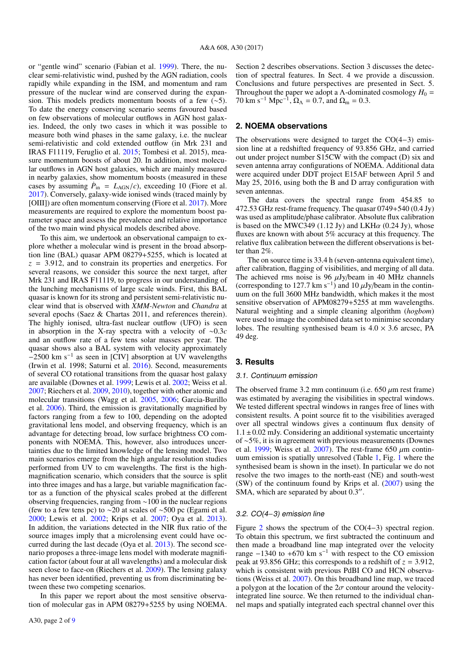or "gentle wind" scenario (Fabian et al. 1999). There, the nuclear semi-relativistic wind, pushed by the AGN radiation, cools rapidly while expanding in the ISM, and momentum and ram pressure of the nuclear wind are conserved during the expansion. This models predicts momentum boosts of a few (∼5). To date the energy conserving scenario seems favoured based on few observations of molecular outflows in AGN host galaxies. Indeed, the only two cases in which it was possible to measure both wind phases in the same galaxy, i.e. the nuclear semi-relativistic and cold extended outflow (in Mrk 231 and IRAS F11119, Feruglio et al. 2015; Tombesi et al. 2015), measure momentum boosts of about 20. In addition, most molecular outflows in AGN host galaxies, which are mainly measured in nearby galaxies, show momentum boosts (measured in these cases by assuming  $\dot{P}_{\text{in}} = L_{\text{AGN}}/c$ , exceeding 10 (Fiore et al. 2017) Conversely galaxy-wide ionised winds (traced mainly by 2017). Conversely, galaxy-wide ionised winds (traced mainly by [OIII]) are often momentum conserving (Fiore et al. 2017). More measurements are required to explore the momentum boost parameter space and assess the prevalence and relative importance of the two main wind physical models described above.

To this aim, we undertook an observational campaign to explore whether a molecular wind is present in the broad absorption line (BAL) quasar APM 08279+5255, which is located at *<sup>z</sup>* <sup>=</sup> <sup>3</sup>.912, and to constrain its properties and energetics. For several reasons, we consider this source the next target, after Mrk 231 and IRAS F11119, to progress in our understanding of the lunching mechanisms of large scale winds. First, this BAL quasar is known for its strong and persistent semi-relativistic nuclear wind that is observed with *XMM-Newton* and *Chandra* at several epochs (Saez & Chartas 2011, and references therein). The highly ionised, ultra-fast nuclear outflow (UFO) is seen in absorption in the X-ray spectra with a velocity of <sup>∼</sup>0.3*<sup>c</sup>* and an outflow rate of a few tens solar masses per year. The quasar shows also a BAL system with velocity approximately −2500 km s<sup>−</sup><sup>1</sup> as seen in [CIV] absorption at UV wavelengths (Irwin et al. 1998; Saturni et al. 2016). Second, measurements of several CO rotational transitions from the quasar host galaxy are available (Downes et al. 1999; Lewis et al. 2002; Weiss et al. 2007; Riechers et al. 2009, 2010), together with other atomic and molecular transitions (Wagg et al. 2005, 2006; Garcia-Burillo et al. 2006). Third, the emission is gravitationally magnified by factors ranging from a few to 100, depending on the adopted gravitational lens model, and observing frequency, which is an advantage for detecting broad, low surface brightness CO components with NOEMA. This, however, also introduces uncertainties due to the limited knowledge of the lensing model. Two main scenarios emerge from the high angular resolution studies performed from UV to cm wavelengths. The first is the highmagnification scenario, which considers that the source is split into three images and has a large, but variable magnification factor as a function of the physical scales probed at the different observing frequencies, ranging from ∼100 in the nuclear regions (few to a few tens pc) to  $\sim$ 20 at scales of ~500 pc (Egami et al. 2000; Lewis et al. 2002; Krips et al. 2007; Oya et al. 2013). In addition, the variations detected in the NIR flux ratio of the source images imply that a microlensing event could have occurred during the last decade (Oya et al. 2013). The second scenario proposes a three-image lens model with moderate magnification factor (about four at all wavelengths) and a molecular disk seen close to face-on (Riechers et al. 2009). The lensing galaxy has never been identified, preventing us from discriminating between these two competing scenarios.

In this paper we report about the most sensitive observation of molecular gas in APM 08279+5255 by using NOEMA. Section 2 describes observations. Section 3 discusses the detection of spectral features. In Sect. 4 we provide a discussion. Conclusions and future perspectives are presented in Sect. 5. Throughout the paper we adopt a  $\Lambda$ -dominated cosmology  $H_0 =$ 70 km s<sup>-1</sup> Mpc<sup>-1</sup>,  $\Omega_{\Lambda} = 0.7$ , and  $\Omega_{\rm m} = 0.3$ .

#### **2. NOEMA observations**

The observations were designed to target the CO(4−3) emission line at a redshifted frequency of 93.856 GHz, and carried out under project number S15CW with the compact (D) six and seven antenna array configurations of NOEMA. Additional data were acquired under DDT project E15AF between April 5 and May 25, 2016, using both the B and D array configuration with seven antennas.

The data covers the spectral range from 454.85 to 472.53 GHz rest-frame frequency. The quasar 0749+540 (0.4 Jy) was used as amplitude/phase calibrator. Absolute flux calibration is based on the MWC349 (1.12 Jy) and LKH $\alpha$  (0.24 Jy), whose fluxes are known with about 5% accuracy at this frequency. The relative flux calibration between the different observations is better than 2%.

The on source time is 33.4 h (seven-antenna equivalent time), after calibration, flagging of visibilities, and merging of all data. The achieved rms noise is 96  $\mu$ Jy/beam in 40 MHz channels (corresponding to 127.7 km s<sup>-1</sup>) and 10  $\mu$ Jy/beam in the contin-<br>uum on the full 3600 MHz bandwidth, which makes it the most uum on the full 3600 MHz bandwidth, which makes it the most sensitive observation of APM08279+5255 at mm wavelengths. Natural weighting and a simple cleaning algorithm (*hogbom*) were used to image the combined data set to minimise secondary lobes. The resulting synthesised beam is  $4.0 \times 3.6$  arcsec, PA 49 deg.

## **3. Results**

#### 3.1. Continuum emission

The observed frame 3.2 mm continuum (i.e.  $650 \mu m$  rest frame) was estimated by averaging the visibilities in spectral windows. We tested different spectral windows in ranges free of lines with consistent results. A point source fit to the visibilities averaged over all spectral windows gives a continuum flux density of  $1.1 \pm 0.02$  mJy. Considering an additional systematic uncertainty of ∼5%, it is in agreement with previous measurements (Downes et al. 1999; Weiss et al. 2007). The rest-frame 650  $\mu$ m continuum emission is spatially unresolved (Table 1, Fig. 1 where the synthesised beam is shown in the inset). In particular we do not resolve the two images to the north-east (NE) and south-west (SW) of the continuum found by Krips et al. (2007) using the SMA, which are separated by about  $0.3$ ".

#### 3.2. CO(4−3) emission line

Figure 2 shows the spectrum of the CO(4−3) spectral region. To obtain this spectrum, we first subtracted the continuum and then made a broadband line map integrated over the velocity range  $-1340$  to  $+670$  km s<sup>-1</sup> with respect to the CO emission peak at 93.856 GHz; this corresponds to a redshift of  $z = 3.912$ , which is consistent with previous PdBI CO and HCN observations (Weiss et al. 2007). On this broadband line map, we traced a polygon at the location of the  $2\sigma$  contour around the velocityintegrated line source. We then returned to the individual channel maps and spatially integrated each spectral channel over this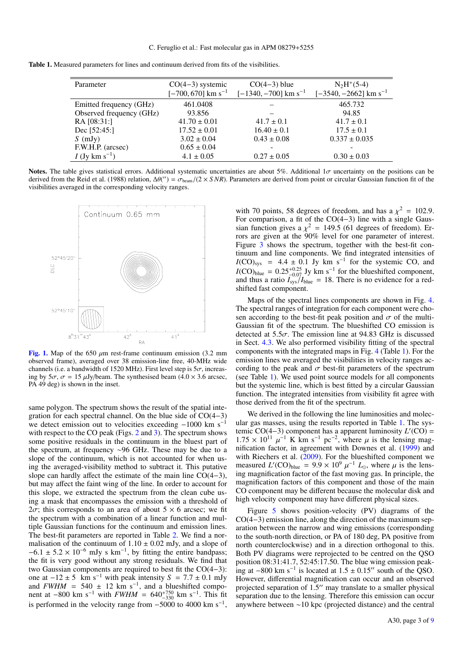| Parameter                    | $CO(4-3)$ systemic               | $CO(4-3)$ blue                     | $N_2H^+(5-4)$                       |
|------------------------------|----------------------------------|------------------------------------|-------------------------------------|
|                              | $[-700, 670]$ km s <sup>-1</sup> | $[-1340, -700]$ km s <sup>-1</sup> | $[-3540, -2662]$ km s <sup>-1</sup> |
| Emitted frequency (GHz)      | 461.0408                         |                                    | 465.732                             |
| Observed frequency (GHz)     | 93.856                           |                                    | 94.85                               |
| RA [08:31:]                  | $41.70 \pm 0.01$                 | $41.7 \pm 0.1$                     | $41.7 \pm 0.1$                      |
| Dec $[52:45.]$               | $17.52 \pm 0.01$                 | $16.40 \pm 0.1$                    | $17.5 \pm 0.1$                      |
| $S$ (mJy)                    | $3.02 \pm 0.04$                  | $0.43 \pm 0.08$                    | $0.337 \pm 0.035$                   |
| F.W.H.P. (arcsec)            | $0.65 \pm 0.04$                  |                                    |                                     |
| $I$ (Jy km s <sup>-1</sup> ) | $4.1 \pm 0.05$                   | $0.27 \pm 0.05$                    | $0.30 \pm 0.03$                     |

Notes. The table gives statistical errors. Additional systematic uncertainties are about 5%. Additional 1σ uncertainty on the positions can be derived from the Reid et al. (1988) relation,  $\Delta\theta'''$ ) =  $\sigma_{\text{beam}}/(2 \times SNR)$ . Parameters are derived from point or circular Gaussian function fit of the visibilities averaged in the corresponding velocity ranges visibilities averaged in the corresponding velocity ranges.



[Fig. 1.](http://dexter.edpsciences.org/applet.php?DOI=10.1051/0004-6361/201731387&pdf_id=1) Map of the 650  $\mu$ m rest-frame continuum emission (3.2 mm) observed frame), averaged over 38 emission-line free, 40-MHz wide channels (i.e. a bandwidth of 1520 MHz). First level step is  $5\sigma$ , increasing by  $5\sigma$ ,  $\sigma = 15 \mu Jy/beam$ . The synthesised beam  $(4.0 \times 3.6 \text{ arcsec})$ , PA 49 deg) is shown in the inset.

same polygon. The spectrum shows the result of the spatial integration for each spectral channel. On the blue side of CO(4−3) we detect emission out to velocities exceeding −1000 km s<sup>−</sup><sup>1</sup> with respect to the CO peak (Figs. 2 and 3). The spectrum shows some positive residuals in the continuum in the bluest part of the spectrum, at frequency ∼96 GHz. These may be due to a slope of the continuum, which is not accounted for when using the averaged-visibility method to subtract it. This putative slope can hardly affect the estimate of the main line CO(4−3), but may affect the faint wing of the line. In order to account for this slope, we extracted the spectrum from the clean cube using a mask that encompasses the emission with a threshold of  $2\sigma$ ; this corresponds to an area of about  $5 \times 6$  arcsec; we fit the spectrum with a combination of a linear function and multiple Gaussian functions for the continuum and emission lines. The best-fit parameters are reported in Table 2. We find a normalisation of the continuum of  $1.10 \pm 0.02$  mJy, and a slope of  $-6.1 \pm 5.2 \times 10^{-6}$  mJy s km<sup>-1</sup>, by fitting the entire bandpass;<br>the fit is very good without any strong residuals. We find that the fit is very good without any strong residuals. We find that two Gaussian components are required to best fit the CO(4−3): one at  $-12 \pm 5$  km s<sup>-1</sup> with peak intensity *S* = 7.7 ± 0.1 mJy and *FWHM* = 540 ± 12 km s<sup>-1</sup>, and a blueshifted component at  $-800 \text{ km s}^{-1}$  with  $FWHM = 640^{+750}_{-330} \text{ km s}^{-1}$ . This fit is performed in the velocity range from  $-5000$  to 4000 km s<sup>-1</sup>,

with 70 points, 58 degrees of freedom, and has a  $\chi^2 = 102.9$ .<br>For comparison, a fit of the CO(4–3) line with a single Gaussian function gives a  $\chi^2 = 149.5$  (61 degrees of freedom). Errors are given at the 90% level for one parameter of interest rors are given at the 90% level for one parameter of interest. Figure 3 shows the spectrum, together with the best-fit continuum and line components. We find integrated intensities of  $I(CO)_{sys}$  = 4.4 ± 0.1 Jy km s<sup>-1</sup> for the systemic CO, and  $I(CO)_{sys}$  = 0.25<sup>+0.25</sup> Jy km s<sup>-1</sup> for the blueshifted component  $I(CO)_{blue} = 0.25^{+0.25}_{-0.07}$  Jy km s<sup>-1</sup> for the blueshifted component,<br>and thus a ratio  $I_{\text{env}}/I_{\text{blue}} = 18$ . There is no evidence for a redand thus a ratio  $I_{sys}/I_{blue} = 18$ . There is no evidence for a red-<br>shifted fast component shifted fast component.

Maps of the spectral lines components are shown in Fig. 4. The spectral ranges of integration for each component were chosen according to the best-fit peak position and  $\sigma$  of the multi-Gaussian fit of the spectrum. The blueshifted CO emission is detected at  $5.5\sigma$ . The emission line at 94.83 GHz is discussed in Sect. 4.3. We also performed visibility fitting of the spectral components with the integrated maps in Fig. 4 (Table 1). For the emission lines we averaged the visibilities in velocity ranges according to the peak and  $\sigma$  best-fit parameters of the spectrum (see Table 1). We used point source models for all components but the systemic line, which is best fitted by a circular Gaussian function. The integrated intensities from visibility fit agree with those derived from the fit of the spectrum.

We derived in the following the line luminosities and molecular gas masses, using the results reported in Table 1. The systemic  $CO(4-3)$  component has a apparent luminosity  $L'(CO) =$  $1.75 \times 10^{11} \mu^{-1}$  K km s<sup>-1</sup> pc<sup>-2</sup>, where  $\mu$  is the lensing mag-<br>nification factor in agreement with Downes et al. (1999) and nification factor, in agreement with Downes et al. (1999) and with Riechers et al. (2009). For the blueshifted component we measured *L*'(CO)<sub>blue</sub> =  $9.9 \times 10^9 \mu^{-1} L_{\odot}$ , where  $\mu$  is the lens-<br>ing magnification factor of the fast moving gas. In principle, the ing magnification factor of the fast moving gas. In principle, the magnification factors of this component and those of the main CO component may be different because the molecular disk and high velocity component may have different physical sizes.

Figure 5 shows position-velocity (PV) diagrams of the CO(4−3) emission line, along the direction of the maximum separation between the narrow and wing emissions (corresponding to the south-north direction, or PA of 180 deg, PA positive from north counterclockwise) and in a direction orthogonal to this. Both PV diagrams were reprojected to be centred on the QSO position 08:31:41.7, 52:45:17.50. The blue wing emission peaking at  $-800 \text{ km s}^{-1}$  is located at  $1.5 \pm 0.15''$  south of the QSO.<br>However, differential magnification can occur and an observed However, differential magnification can occur and an observed projected separation of  $1.5$ " may translate to a smaller physical separation due to the lensing. Therefore this emission can occur anywhere between ∼10 kpc (projected distance) and the central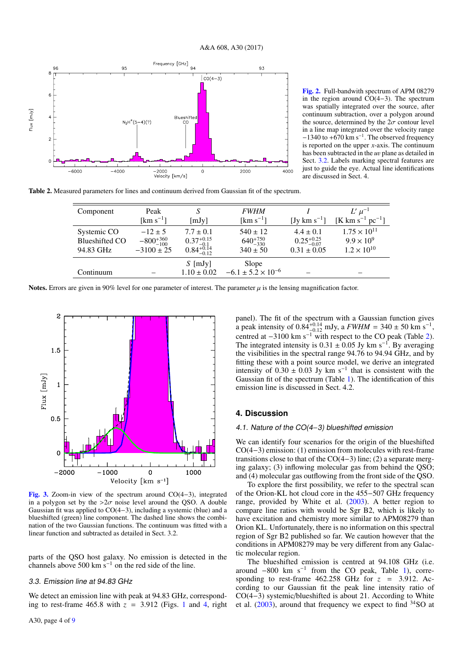

[Fig. 2.](http://dexter.edpsciences.org/applet.php?DOI=10.1051/0004-6361/201731387&pdf_id=2) Full-bandwith spectrum of APM 08279 in the region around CO(4−3). The spectrum was spatially integrated over the source, after continuum subtraction, over a polygon around the source, determined by the  $2\sigma$  contour level in a line map integrated over the velocity range  $-1340$  to  $+670$  km s<sup>-1</sup>. The observed frequency is reported on the upper *x*-axis. The continuum has been subtracted in the *<sup>u</sup>*v plane as detailed in Sect. 3.2. Labels marking spectral features are just to guide the eye. Actual line identifications are discussed in Sect. 4.

Table 2. Measured parameters for lines and continuum derived from Gaussian fit of the spectrum.

| Component                                         | Peak                                                  |                                                                   | <b>FWHM</b>                                         |                                                            | $L'\mu^{-1}$                                                         |
|---------------------------------------------------|-------------------------------------------------------|-------------------------------------------------------------------|-----------------------------------------------------|------------------------------------------------------------|----------------------------------------------------------------------|
|                                                   | [km $s^{-1}$ ]                                        | [mJy]                                                             | [ $\mathrm{km} \mathrm{~s}^{-1}$ ]                  | [Jy km $s^{-1}$ ]                                          | [K km s <sup>-1</sup> pc <sup>-1</sup> ]                             |
| Systemic CO<br><b>Blueshifted CO</b><br>94.83 GHz | $-12 \pm 5$<br>$-800^{+360}_{-100}$<br>$-3100 \pm 25$ | $7.7 \pm 0.1$<br>$0.37^{+0.15}_{-0.14}$<br>$0.84^{+0.14}_{-0.12}$ | $540 \pm 12$<br>$640^{+750}_{-330}$<br>$340 \pm 50$ | $4.4 \pm 0.1$<br>$0.25_{-0.07}^{+0.25}$<br>$0.31 \pm 0.05$ | $1.75 \times 10^{11}$<br>$9.9 \times 10^{9}$<br>$1.2 \times 10^{10}$ |
| Continuum                                         |                                                       | $S$ [mJy]<br>$1.10 \pm 0.02$                                      | Slope<br>$-6.1 \pm 5.2 \times 10^{-6}$              |                                                            |                                                                      |

Notes. Errors are given in 90% level for one parameter of interest. The parameter  $\mu$  is the lensing magnification factor.



[Fig. 3.](http://dexter.edpsciences.org/applet.php?DOI=10.1051/0004-6361/201731387&pdf_id=3) Zoom-in view of the spectrum around CO(4−3), integrated in a polygon set by the  $>2\sigma$  noise level around the QSO. A double Gaussian fit was applied to CO(4−3), including a systemic (blue) and a blueshifted (green) line component. The dashed line shows the combination of the two Gaussian functions. The continuum was fitted with a linear function and subtracted as detailed in Sect. 3.2.

parts of the QSO host galaxy. No emission is detected in the channels above 500 km  $\overline{s}^{-1}$  on the red side of the line.

### 3.3. Emission line at 94.83 GHz

We detect an emission line with peak at 94.83 GHz, corresponding to rest-frame  $465.8$  with  $z = 3.912$  (Figs. 1 and 4, right panel). The fit of the spectrum with a Gaussian function gives a peak intensity of  $0.84_{-0.14}^{+0.14}$  mJy, a  $FWHM = 340 \pm 50$  km s<sup>-1</sup>, centred at  $-3100$  km s<sup>-1</sup>, with respect to the CO peak (Table 2) centred at  $-3100 \text{ km s}^{-1}$  with respect to the CO peak (Table 2). The integrated intensity is  $0.31 \pm 0.05$  Jy km s<sup>-1</sup>. By averaging the visibilities in the spectral range 94.76 to 94.94 GHz and by the visibilities in the spectral range 94.76 to 94.94 GHz, and by fitting these with a point source model, we derive an integrated intensity of  $0.30 \pm 0.03$  Jy km s<sup>-1</sup> that is consistent with the Gaussian fit of the spectrum (Table 1). The identification of this Gaussian fit of the spectrum (Table 1). The identification of this emission line is discussed in Sect. 4.2.

### **4. Discussion**

#### 4.1. Nature of the CO(4−3) blueshifted emission

We can identify four scenarios for the origin of the blueshifted CO(4−3) emission: (1) emission from molecules with rest-frame transitions close to that of the CO(4−3) line; (2) a separate merging galaxy; (3) inflowing molecular gas from behind the QSO; and (4) molecular gas outflowing from the front side of the QSO.

To explore the first possibility, we refer to the spectral scan of the Orion-KL hot cloud core in the 455−507 GHz frequency range, provided by White et al. (2003). A better region to compare line ratios with would be Sgr B2, which is likely to have excitation and chemistry more similar to APM08279 than Orion KL. Unfortunately, there is no information on this spectral region of Sgr B2 published so far. We caution however that the conditions in APM08279 may be very different from any Galactic molecular region.

The blueshifted emission is centred at 94.108 GHz (i.e. around  $-800 \text{ km s}^{-1}$  from the CO peak, Table 1), corresponding to rest-frame  $462.258$  GHz for  $z = 3.912$ . According to our Gaussian fit the peak line intensity ratio of CO(4−3) systemic/blueshifted is about 21. According to White et al. (2003), around that frequency we expect to find <sup>34</sup>SO at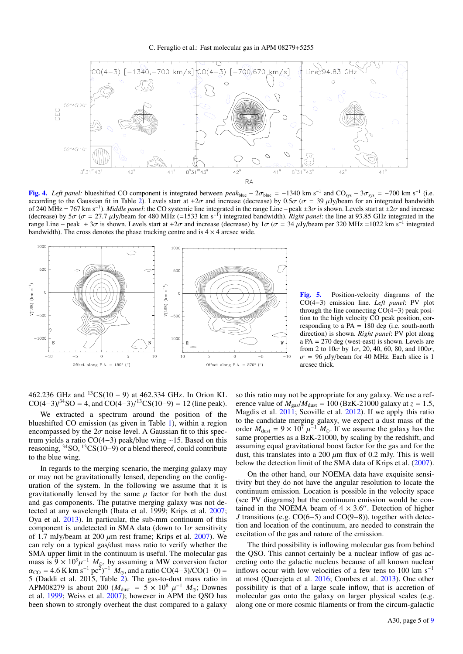

[Fig. 4.](http://dexter.edpsciences.org/applet.php?DOI=10.1051/0004-6361/201731387&pdf_id=4) *Left panel:* blueshifted CO component is integrated between *peak*<sub>blue</sub> – 2σ<sub>blue</sub> = −1340 km s<sup>-1</sup> and CO<sub>sys</sub> – 3σ<sub>sys</sub> = −700 km s<sup>-1</sup> (i.e.<br>according to the Gaussian fit in Table 2) Levels start at +2σ and according to the Gaussian fit in Table 2). Levels start at  $\pm 2\sigma$  and increase (decrease) by 0.5 $\sigma$  ( $\sigma = 39 \mu$ Jy/beam for an integrated bandwidth of 240 MHz = 767 km s<sup>-1</sup>). *Middle panel*: the CO systemic line integrated in the range Line – peak  $\pm 3\sigma$  is shown. Levels start at  $\pm 2\sigma$  and increase ). *Middle panel*: the CO systemic line integrated in the range Line – peak ±3σ is shown. Levels start at ±2σ and increase 17 *u* Jy/beam for 480 MHz (=1533 km s<sup>-1</sup>) integrated bandwidth). *Right nanel*: the line at 93 (decrease) by  $5\sigma$  ( $\sigma = 27.7$  µJy/beam for 480 MHz (=1533 km s<sup>-1</sup>) integrated bandwidth). *Right panel*: the line at 93.85 GHz integrated in the range Line – neak + 3 $\sigma$  is shown. Levels start at +2 $\sigma$  and increase ( range Line – peak ± 3 $\sigma$  is shown. Levels start at  $\pm 2\sigma$  and increase (decrease) by  $1\sigma$  ( $\sigma = 34 \mu$ Jy/beam per 320 MHz =1022 km s<sup>-1</sup> integrated bandwidth). The cross denotes the phase tracking centre and is 4 × 4 a bandwidth). The cross denotes the phase tracking centre and is  $4 \times 4$  arcsec wide.



[Fig. 5.](http://dexter.edpsciences.org/applet.php?DOI=10.1051/0004-6361/201731387&pdf_id=5) Position-velocity diagrams of the CO(4−3) emission line. *Left panel*: PV plot through the line connecting CO(4−3) peak position to the high velocity CO peak position, corresponding to a PA = 180 deg (i.e. south-north direction) is shown. *Right panel*: PV plot along a PA = 270 deg (west-east) is shown. Levels are from 2 to  $10\sigma$  by  $1\sigma$ , 20, 40, 60, 80, and  $100\sigma$ ,  $\sigma$  = 96  $\mu$ Jy/beam for 40 MHz. Each slice is 1 arcsec thick.

462.236 GHz and <sup>13</sup>CS(10 − 9) at 462.334 GHz. In Orion KL CO(4–3) $\binom{34}{4}$ SO = 4, and CO(4–3) $\binom{13}{4}$ CS(10–9) = 12 (line peak).

We extracted a spectrum around the position of the blueshifted CO emission (as given in Table 1), within a region encompassed by the  $2\sigma$  noise level. A Gaussian fit to this spectrum yields a ratio CO(4−3) peak/blue wing ∼15. Based on this reasoning,  ${}^{34}$ SO,  ${}^{13}$ CS(10−9) or a blend thereof, could contribute to the blue wing.

In regards to the merging scenario, the merging galaxy may or may not be gravitationally lensed, depending on the configuration of the system. In the following we assume that it is gravitationally lensed by the same  $\mu$  factor for both the dust and gas components. The putative merging galaxy was not detected at any wavelength (Ibata et al. 1999; Krips et al. 2007; Oya et al. 2013). In particular, the sub-mm continuum of this component is undetected in SMA data (down to  $1\sigma$  sensitivity of 1.7 mJy/beam at 200  $\mu$ m rest frame; Krips et al. 2007). We can rely on a typical gas/dust mass ratio to verify whether the SMA upper limit in the continuum is useful. The molecular gas mass is  $9 \times 10^9 \mu^{-1}$   $M_{\odot}$ , by assuming a MW conversion factor<br> $\alpha_{\rm CO} = 4.6$  K km s<sup>-1</sup> pc<sup>2</sup>)<sup>-1</sup>  $M_{\odot}$  and a ratio CO(4-3)/CO(1-0) =  $\alpha_{\text{CO}} = 4.6 \text{ K km s}^{-1} \text{pc}^2$ )<sup>-1</sup>  $M_{\odot}$ , and a ratio CO(4-3)/CO(1-0) = 5 (Daddi et al. 2015) Table 2). The gas-to-dust mass ratio in 5 (Daddi et al. 2015, Table 2). The gas-to-dust mass ratio in APM08279 is about 200 ( $M_{\text{dust}} = 5 \times 10^8 \mu^{-1} M_{\odot}$ ; Downes et al. 1999; Weiss et al. 2007); however in APM the OSO has et al. 1999; Weiss et al. 2007); however in APM the QSO has been shown to strongly overheat the dust compared to a galaxy

so this ratio may not be appropriate for any galaxy. We use a reference value of  $M_{\text{gas}}/M_{\text{dust}} = 100$  (BzK-21000 galaxy at  $z = 1.5$ , Magdis et al. 2011; Scoville et al. 2012). If we apply this ratio to the candidate merging galaxy, we expect a dust mass of the order  $M_{\text{dust}} = 9 \times 10^7 \mu^{-1} M_{\odot}$ . If we assume the galaxy has the same properties as a BzK-21000 by scaling by the redshift and same properties as a BzK-21000, by scaling by the redshift, and assuming equal gravitational boost factor for the gas and for the dust, this translates into a 200  $\mu$ m flux of 0.2 mJy. This is well below the detection limit of the SMA data of Krips et al. (2007).

On the other hand, our NOEMA data have exquisite sensitivity but they do not have the angular resolution to locate the continuum emission. Location is possible in the velocity space (see PV diagrams) but the continuum emission would be contained in the NOEMA beam of  $4 \times 3.6$ . Detection of higher *I* transitions (e.g. CO(6–5) and CO(9–8)) together with detec-*J* transitions (e.g. CO(6−5) and CO(9−8)), together with detection and location of the continuum, are needed to constrain the excitation of the gas and nature of the emission.

The third possibility is inflowing molecular gas from behind the QSO. This cannot certainly be a nuclear inflow of gas accreting onto the galactic nucleus because of all known nuclear inflows occur with low velocities of a few tens to 100 km s<sup> $-1$ </sup> at most (Querejeta et al. 2016; Combes et al. 2013). One other possibility is that of a large scale inflow, that is accretion of molecular gas onto the galaxy on larger physical scales (e.g. along one or more cosmic filaments or from the circum-galactic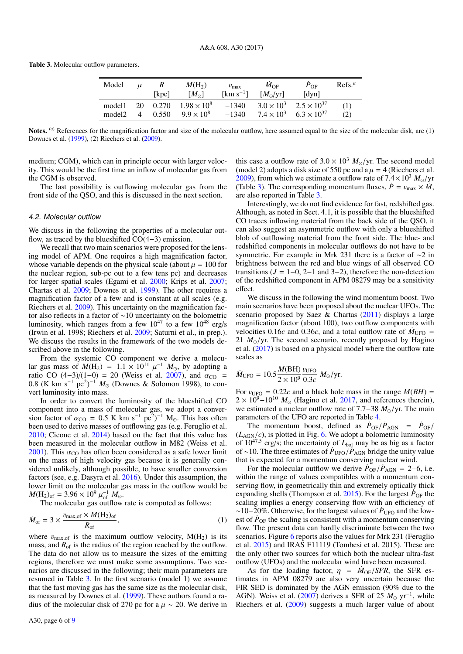Table 3. Molecular outflow parameters.

| Model              | $\mu$          | R     | $M(H_2)$             | $v_{\rm max}$           | $M_{\rm OF}$              | $P_{\rm OF}$                           | Refs <sup>a</sup> |
|--------------------|----------------|-------|----------------------|-------------------------|---------------------------|----------------------------------------|-------------------|
|                    |                | [kpc] | $[M_{\odot}]$        | $\mathrm{[km\;s^{-1}]}$ | $[M_{\odot}/\mathrm{yr}]$ | [dyn]                                  |                   |
| model1             | 20             | 0.270 | $1.98 \times 10^{8}$ | $-1340$                 |                           | $3.0 \times 10^3$ $2.5 \times 10^{37}$ | (1)               |
| model <sub>2</sub> | $\overline{4}$ | 0.550 | $9.9 \times 10^8$    | $-1340$                 |                           | $7.4 \times 10^3$ 6.3 $\times 10^{37}$ | (2)               |
|                    |                |       |                      |                         |                           |                                        |                   |

Notes. <sup>(a)</sup> References for the magnification factor and size of the molecular outflow, here assumed equal to the size of the molecular disk, are (1) Downes et al. (1999), (2) Riechers et al. (2009).

medium; CGM), which can in principle occur with larger velocity. This would be the first time an inflow of molecular gas from the CGM is observed.

The last possibility is outflowing molecular gas from the front side of the QSO, and this is discussed in the next section.

#### 4.2. Molecular outflow

We discuss in the following the properties of a molecular outflow, as traced by the blueshifted CO(4−3) emission.

We recall that two main scenarios were proposed for the lensing model of APM. One requires a high magnification factor, whose variable depends on the physical scale (about  $\mu = 100$  for the nuclear region, sub-pc out to a few tens pc) and decreases for larger spatial scales (Egami et al. 2000; Krips et al. 2007; Chartas et al. 2009; Downes et al. 1999). The other requires a magnification factor of a few and is constant at all scales (e.g. Riechers et al. 2009). This uncertainty on the magnification factor also reflects in a factor of ∼10 uncertainty on the bolometric luminosity, which ranges from a few  $10^{47}$  to a few  $10^{48}$  erg/s (Irwin et al. 1998; Riechers et al. 2009; Saturni et al., in prep.). We discuss the results in the framework of the two models described above in the following.

From the systemic CO component we derive a molecular gas mass of  $M(H_2) = 1.1 \times 10^{11} \mu^{-1} M_{\odot}$ , by adopting a<br>ratio CO (4-3)/(1-0) = 20 (Weiss et al. 2007) and  $\alpha_{\rm CO}$  = ratio CO  $(4-3)/(1-0) = 20$  (Weiss et al. 2007), and  $\alpha_{\text{CO}} = 0.8$  (K km s<sup>-1</sup> pc<sup>2</sup>)<sup>-1</sup>  $M_{\odot}$  (Downes & Solomon 1998) to con-0.8 (K km s<sup>-1</sup> pc<sup>2</sup>)<sup>-1</sup>  $M_{\odot}$  (Downes & Solomon 1998), to convert luminosity into mass vert luminosity into mass.

In order to convert the luminosity of the blueshifted CO component into a mass of molecular gas, we adopt a conversion factor of  $\alpha_{\text{CO}} = 0.5 \text{ K km s}^{-1} \text{ pc}^2$ )<sup>-1</sup> M<sub>o</sub>. This has often heen used to derive masses of outflowing gas (e.g. Feruglio et al. been used to derive masses of outflowing gas (e.g. Feruglio et al. 2010; Cicone et al. 2014) based on the fact that this value has been measured in the molecular outflow in M82 (Weiss et al. 2001). This  $\alpha_{\rm CO}$  has often been considered as a safe lower limit on the mass of high velocity gas because it is generally considered unlikely, although possible, to have smaller conversion factors (see, e.g. Dasyra et al. 2016). Under this assumption, the lower limit on the molecular gas mass in the outflow would be  $M(\text{H}_2)_{\text{of}} = 3.96 \times 10^9 \mu_{\text{of}}^{-1} M_{\odot}$ .<br>The molecular gas outflow

The molecular gas outflow rate is computed as follows:

$$
\dot{M}_{\text{of}} = 3 \times \frac{v_{\text{max,of}} \times M(\text{H}_2)_{\text{of}}}{R_{\text{of}}},\tag{1}
$$

where  $v_{\text{max,of}}$  is the maximum outflow velocity,  $M(H_2)$  is its mass, and  $R_{of}$  is the radius of the region reached by the outflow. The data do not allow us to measure the sizes of the emitting regions, therefore we must make some assumptions. Two scenarios are discussed in the following; their main parameters are resumed in Table 3. In the first scenario (model 1) we assume that the fast moving gas has the same size as the molecular disk, as measured by Downes et al. (1999). These authors found a radius of the molecular disk of 270 pc for a  $\mu \sim 20$ . We derive in

this case a outflow rate of  $3.0 \times 10^3$   $M_{\odot}/yr$ . The second model (model 2) adopts a disk size of 550 pc and a  $\mu = 4$  (Riechers et al. 2009), from which we estimate a outflow rate of  $7.4 \times 10^3$   $M_{\odot}/yr$ (Table 3). The corresponding momentum fluxes,  $\dot{P} = v_{\text{max}} \times \dot{M}$ , are also reported in Table 3.

Interestingly, we do not find evidence for fast, redshifted gas. Although, as noted in Sect. 4.1, it is possible that the blueshifted CO traces inflowing material from the back side of the QSO, it can also suggest an asymmetric outflow with only a blueshifted blob of outflowing material from the front side. The blue- and redshifted components in molecular outflows do not have to be symmetric. For example in Mrk 231 there is a factor of ∼2 in brightness between the red and blue wings of all observed CO transitions  $(J = 1-0, 2-1, 3-2)$ , therefore the non-detection of the redshifted component in APM 08279 may be a sensitivity effect.

We discuss in the following the wind momentum boost. Two main scenarios have been proposed about the nuclear UFOs. The scenario proposed by Saez & Chartas (2011) displays a large magnification factor (about 100), two outflow components with velocities 0.16*c* and 0.36*c*, and a total outflow rate of  $\dot{M}_{UFO}$  = 21  $M_{\odot}$ /yr. The second scenario, recently proposed by Hagino et al. (2017) is based on a physical model where the outflow rate scales as

$$
\dot{M}_{\text{UFO}} = 10.5 \frac{M(\text{BH})}{2 \times 10^9} \frac{v_{\text{UFO}}}{0.3c} M_{\odot}/\text{yr}.
$$

For  $v_{\text{UFO}} = 0.22c$  and a black hole mass in the range  $M(BH) = 2 \times 10^9 - 10^{10}$   $M_{\odot}$  (Hagino et al. 2017) and references therein)  $2 \times 10^{9} - 10^{10}$  *M*<sub>o</sub> (Hagino et al. 2017, and references therein), we estimated a nuclear outflow rate of 7.7–38 *M*<sub>⊙</sub>/yr. The main parameters of the UFO are reported in Table 4.

The momentum boost, defined as  $\dot{P}_{OF}/\dot{P}_{AGN} = \dot{P}_{OF}/P_{OF}$  $(L_{AGN}/c)$ , is plotted in Fig. 6. We adopt a bolometric luminosity of  $10^{47.5}$  erg/s; the uncertainty of  $L_{bol}$  may be as big as a factor of ∼10. The three estimates of  $\dot{P}_{\text{UFO}}/\dot{P}_{\text{AGN}}$  bridge the unity value that is expected for a momentum conserving nuclear wind.

For the molecular outflow we derive  $\dot{P}_{OF}/\dot{P}_{AGN} = 2-6$ , i.e. within the range of values compatibles with a momentum conserving flow, in geometrically thin and extremely optically thick expanding shells (Thompson et al. 2015). For the largest  $\dot{P}_{OF}$  the scaling implies a energy conserving flow with an efficiency of ∼10−20%. Otherwise, for the largest values of  $\dot{P}_{\text{UFO}}$  and the lowest of  $\dot{P}_{OF}$  the scaling is consistent with a momentum conserving flow. The present data can hardly discriminate between the two scenarios. Figure 6 reports also the values for Mrk 231 (Feruglio et al. 2015) and IRAS F11119 (Tombesi et al. 2015). These are the only other two sources for which both the nuclear ultra-fast outflow (UFOs) and the molecular wind have been measured.

As for the loading factor,  $\eta = M_{\text{OF}}/SFR$ , the SFR estimates in APM 08279 are also very uncertain because the FIR SED is dominated by the AGN emission (90% due to the AGN). Weiss et al. (2007) derives a SFR of 25  $M_{\odot}$  yr<sup>-1</sup>, while Riechers et al. (2009) suggests a much larger value of about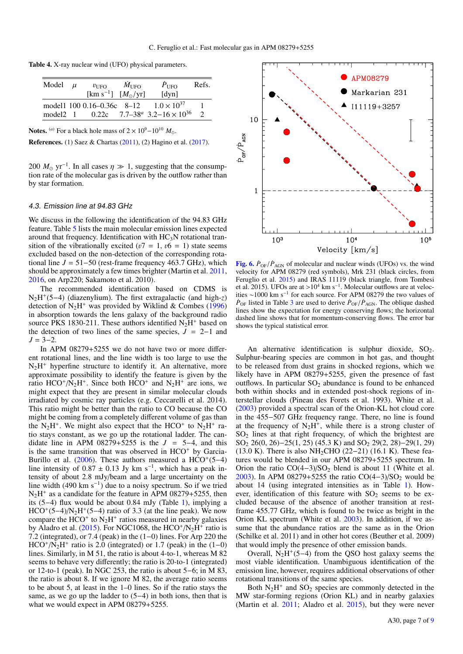| Model | $\mu$ | $v_{\rm{HFO}}$                         | $M_{\rm UFO}$ | $P_{\text{UFO}}$                                                       | Refs. |
|-------|-------|----------------------------------------|---------------|------------------------------------------------------------------------|-------|
|       |       | [km s <sup>-1</sup> ] $[M_{\odot}/yr]$ |               | $\lceil \text{dyn} \rceil$                                             |       |
|       |       | model 100 0.16–0.36c 8–12              |               | $1.0 \times 10^{37}$                                                   |       |
|       |       |                                        |               | model 2 1 $0.22c$ 7.7–38 <sup>a</sup> 3.2–16 $\times$ 10 <sup>36</sup> |       |
|       |       |                                        |               |                                                                        |       |

Notes. <sup>(*a*)</sup> For a black hole mass of  $2 \times 10^9 - 10^{10} M_{\odot}$ .

References. (1) Saez & Chartas (2011), (2) Hagino et al. (2017).

200  $M_{\odot}$  yr<sup>-1</sup>. In all cases  $\eta \gg 1$ , suggesting that the consumption rate of the molecular gas is driven by the outflow rather than tion rate of the molecular gas is driven by the outflow rather than by star formation.

#### 4.3. Emission line at 94.83 GHz

We discuss in the following the identification of the 94.83 GHz feature. Table 5 lists the main molecular emission lines expected around that frequency. Identification with  $HC<sub>3</sub>N$  rotational transition of the vibrationally excited ( $v7 = 1$ ,  $v6 = 1$ ) state seems excluded based on the non-detection of the corresponding rotational line  $J = 51-50$  (rest-frame frequency 463.7 GHz), which should be approximately a few times brighter (Martin et al. 2011, 2016, on Arp220; Sakamoto et al. 2010).

The recommended identification based on CDMS is N2H + (5−4) (diazenylium). The first extragalactic (and high-*z*) detection of  $N_2H^+$  was provided by Wiklind & Combes (1996) in absorption towards the lens galaxy of the background radio source PKS 1830-211. These authors identified  $N_2H^+$  based on the detection of two lines of the same species,  $J = 2-1$  and  $J = 3-2.$ 

In APM 08279+5255 we do not have two or more different rotational lines, and the line width is too large to use the  $N_2H^+$  hyperfine structure to identify it. An alternative, more approximate possibility to identify the feature is given by the ratio  $HCO^+/\bar{N}_2H^+$ . Since both  $HCO^+$  and  $N_2H^+$  are ions, we might expect that they are present in similar molecular clouds irradiated by cosmic ray particles (e.g. Ceccarelli et al. 2014). This ratio might be better than the ratio to CO because the CO might be coming from a completely different volume of gas than the  $N_2H^+$ . We might also expect that the HCO<sup>+</sup> to  $N_2H^+$  ratio stays constant, as we go up the rotational ladder. The candidate line in APM  $08279+5255$  is the  $J = 5-4$ , and this is the same transition that was observed in  $HCO<sup>+</sup>$  by Garcia-Burillo et al.  $(2006)$ . These authors measured a HCO<sup>+</sup>(5–4) line intensity of  $0.87 \pm 0.13$  Jy km s<sup>-1</sup>, which has a peak intensity of about 2.8 mJy/beam and a large uncertainty on the tensity of about 2.8 mJy/beam and a large uncertainty on the line width (490 km s<sup>−</sup><sup>1</sup> ) due to a noisy spectrum. So if we tried  $N_2H^+$  as a candidate for the feature in APM 08279+5255, then its (5−4) flux would be about 0.84 mJy (Table 1), implying a  $HCO^{+}(5-4)/N<sub>2</sub>H^{+}(5-4)$  ratio of 3.3 (at the line peak). We now compare the HCO<sup>+</sup> to  $N_2H^+$  ratios measured in nearby galaxies by Aladro et al. (2015). For NGC1068, the  $HCO^+/N_2H^+$  ratio is 7.2 (integrated), or 7.4 (peak) in the (1−0) lines. For Arp 220 the  $HCO^+/\bar{N_2}H^+$  ratio is 2.0 (integrated) or 1.7 (peak) in the (1–0) lines. Similarly, in M 51, the ratio is about 4-to-1, whereas M 82 seems to behave very differently; the ratio is 20-to-1 (integrated) or 12-to-1 (peak). In NGC 253, the ratio is about 5−6; in M 83, the ratio is about 8. If we ignore M 82, the average ratio seems to be about 5, at least in the 1–0 lines. So if the ratio stays the same, as we go up the ladder to  $(5-4)$  in both ions, then that is what we would expect in APM 08279+5255.



[Fig. 6.](http://dexter.edpsciences.org/applet.php?DOI=10.1051/0004-6361/201731387&pdf_id=6)  $\dot{P}_{OF}/\dot{P}_{AGN}$  of molecular and nuclear winds (UFOs) vs. the wind velocity for APM 08279 (red symbols), Mrk 231 (black circles, from Feruglio et al. 2015) and IRAS 11119 (black triangle, from Tombesi et al. 2015). UFOs are at >10<sup>4</sup> km s<sup>-1</sup>. Molecular outflows are at veloc-<br>ities ~1000 km s<sup>-1</sup> for each source. For APM 08279 the two values of ities ∼1000 km s<sup>−</sup><sup>1</sup> for each source. For APM 08279 the two values of  $\dot{P}_{\text{OF}}$  listed in Table 3 are used to derive  $\dot{P}_{\text{OF}}/\dot{P}_{\text{AGN}}$ . The oblique dashed lines show the expectation for energy conserving flows; the horizontal dashed line shows that for momentum-conserving flows. The error bar shows the typical statistical error.

An alternative identification is sulphur dioxide,  $SO_2$ . Sulphur-bearing species are common in hot gas, and thought to be released from dust grains in shocked regions, which we likely have in APM 08279+5255, given the presence of fast outflows. In particular  $SO_2$  abundance is found to be enhanced both within shocks and in extended post-shock regions of interstellar clouds (Pineau des Forets et al. 1993). White et al. (2003) provided a spectral scan of the Orion-KL hot cloud core in the 455−507 GHz frequency range. There, no line is found at the frequency of  $N_2H^+$ , while there is a strong cluster of  $SO<sub>2</sub>$  lines at that right frequency, of which the brightest are SO<sub>2</sub> 26(0, 26)–25(1, 25) (45.3 K) and SO<sub>2</sub> 29(2, 28)–29(1, 29) (13.0 K). There is also NH<sub>2</sub>CHO (22–21) (16.1 K). These features would be blended in our APM 08279+5255 spectrum. In Orion the ratio  $CO(4-3)/SO_2$  blend is about 11 (White et al. 2003). In APM 08279+5255 the ratio  $CO(4-3)/SO_2$  would be about 14 (using integrated intensities as in Table 1). However, identification of this feature with  $SO_2$  seems to be excluded because of the absence of another transition at restframe 455.77 GHz, which is found to be twice as bright in the Orion KL spectrum (White et al. 2003). In addition, if we assume that the abundance ratios are the same as in the Orion (Schilke et al. 2011) and in other hot cores (Beuther et al. 2009) that would imply the presence of other emission bands.

Overall,  $N_2H^+(5-4)$  from the QSO host galaxy seems the most viable identification. Unambiguous identification of the emission line, however, requires additional observations of other rotational transitions of the same species.

Both  $N_2H^+$  and  $SO_2$  species are commonly detected in the MW star-forming regions (Orion KL) and in nearby galaxies (Martin et al. 2011; Aladro et al. 2015), but they were never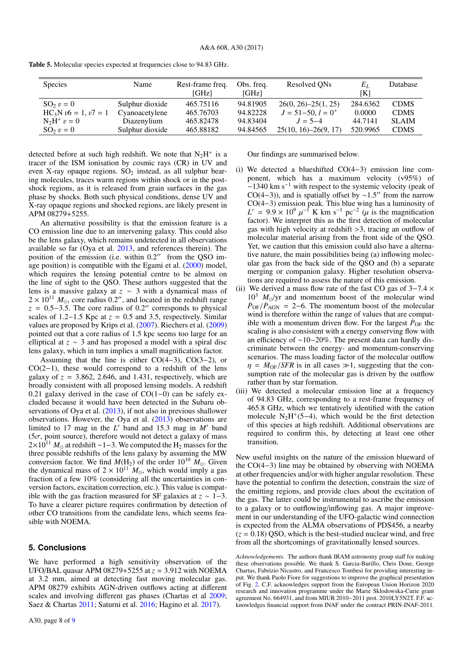| <b>Species</b>         | Name            | Rest-frame freq.<br>[GHz] | Obs. freq.<br>[GHz] | Resolved ON <sub>s</sub>  | $E_L$<br>ſКl | Database     |
|------------------------|-----------------|---------------------------|---------------------|---------------------------|--------------|--------------|
| $\text{SO}_2$ $v = 0$  | Sulphur dioxide | 465.75116                 | 94.81905            | $26(0, 26) - 25(1, 25)$   | 284.6362     | <b>CDMS</b>  |
| $HC_3N v6 = 1, v7 = 1$ | Cyanoacetylene  | 465.76703                 | 94.82228            | $J = 51 - 50$ , $l = 0^+$ | 0.0000       | <b>CDMS</b>  |
| $N_2H^+$ $v = 0$       | Diazenylium     | 465.82478                 | 94.83404            | $J = 5 - 4$               | 44.7141      | <b>SLAIM</b> |
| $SO_2 v = 0$           | Sulphur dioxide | 465.88182                 | 94.84565            | $25(10, 16) - 26(9, 17)$  | 520.9965     | <b>CDMS</b>  |

Table 5. Molecular species expected at frequencies close to 94.83 GHz.

detected before at such high redshift. We note that  $N_2H^+$  is a tracer of the ISM ionisation by cosmic rays (CR) in UV and even X-ray opaque regions.  $SO_2$  instead, as all sulphur bearing molecules, traces warm regions within shock or in the postshock regions, as it is released from grain surfaces in the gas phase by shocks. Both such physical conditions, dense UV and X-ray opaque regions and shocked regions, are likely present in APM 08279+5255.

An alternative possibility is that the emission feature is a CO emission line due to an intervening galaxy. This could also be the lens galaxy, which remains undetected in all observations available so far (Oya et al. 2013, and references therein). The position of the emission (i.e. within  $0.2$ <sup>"</sup> from the QSO image position) is compatible with the Egami et al. (2000) model, which requires the lensing potential centre to be almost on the line of sight to the QSO. These authors suggested that the lens is a massive galaxy at *z* ∼ 3 with a dynamical mass of  $2 \times 10^{11}$   $M_{\odot}$ , core radius 0.2", and located in the redshift range  $z = 0.5-3.5$ . The core radius of 0.2" corresponds to physical scales of 1.2−1.5 Kpc at  $z = 0.5$  and 3.5, respectively. Similar values are proposed by Krips et al. (2007). Riechers et al. (2009) pointed out that a core radius of 1.5 kpc seems too large for an elliptical at *z* ∼ 3 and has proposed a model with a spiral disc lens galaxy, which in turn implies a small magnification factor.

Assuming that the line is either CO(4−3), CO(3−2), or CO(2−1), these would correspond to a redshift of the lens galaxy of  $z = 3.862$ , 2.646, and 1.431, respectively, which are broadly consistent with all proposed lensing models. A redshift 0.21 galaxy derived in the case of CO(1−0) can be safely excluded because it would have been detected in the Subaru observations of Oya et al. (2013), if not also in previous shallower observations. However, the Oya et al. (2013) observations are limited to 17 mag in the  $L'$  band and 15.3 mag in  $M'$  band ( $5\sigma$ , point source), therefore would not detect a galaxy of mass  $2\times10^{11}$  *M*<sub>o</sub> at redshift ~1–3. We computed the H<sub>2</sub> masses for the three possible redshifts of the lens galaxy by assuming the MW conversion factor. We find  $M(H_2)$  of the order  $10^{10}$   $M_{\odot}$ . Given the dynamical mass of  $2 \times 10^{11} M_{\odot}$ , which would imply a gas fraction of a few 10% (considering all the uncertainties in conversion factors, excitation correction, etc.). This value is compatible with the gas fraction measured for SF galaxies at  $z \sim 1-3$ . To have a clearer picture requires confirmation by detection of other CO transitions from the candidate lens, which seems feasible with NOEMA.

## **5. Conclusions**

We have performed a high sensitivity observation of the UFO/BAL quasar APM 08279+5255 at *<sup>z</sup>* <sup>=</sup> <sup>3</sup>.912 with NOEMA at 3.2 mm, aimed at detecting fast moving molecular gas. APM 08279 exhibits AGN-driven outflows acting at different scales and involving different gas phases (Chartas et al 2009; Saez & Chartas 2011; Saturni et al. 2016; Hagino et al. 2017).

Our findings are summarised below.

- (i) We detected a blueshifted CO(4−3) emission line component, which has a maximum velocity (v95%) of −1340 km s−<sup>1</sup> with respect to the systemic velocity (peak of CO(4–3)), and is spatially offset by ~1.5" from the narrow<br>CO(4–3) emission peak. This blue wing has a luminosity of CO(4−3) emission peak. This blue wing has a luminosity of  $L' = 9.9 \times 10^9 \mu^{-1}$  K km s<sup>-1</sup> pc<sup>-2</sup> ( $\mu$  is the magnification factor). We interpret this as the first detection of molecular factor). We interpret this as the first detection of molecular gas with high velocity at redshift >3, tracing an outflow of molecular material arising from the front side of the QSO. Yet, we caution that this emission could also have a alternative nature, the main possibilities being (a) inflowing molecular gas from the back side of the QSO and (b) a separate merging or companion galaxy. Higher resolution observations are required to assess the nature of this emission.
- (ii) We derived a mass flow rate of the fast CO gas of  $3-7.4 \times$  $10^3$   $M_{\odot}$ /yr and momentum boost of the molecular wind  $\dot{P}_{OF}/\dot{P}_{AGN}$  = 2–6. The momentum boost of the molecular wind is therefore within the range of values that are compatible with a momentum driven flow. For the largest  $\dot{P}_{OF}$  the scaling is also consistent with a energy conserving flow with an efficiency of ∼10−20%. The present data can hardly discriminate between the energy- and momentum-conserving scenarios. The mass loading factor of the molecular outflow  $\eta = M_{\text{OF}}/SFR$  is in all cases  $\gg 1$ , suggesting that the consumption rate of the molecular gas is driven by the outflow rather than by star formation.
- (iii) We detected a molecular emission line at a frequency of 94.83 GHz, corresponding to a rest-frame frequency of 465.8 GHz, which we tentatively identified with the cation molecule  $N_2H^+(5-4)$ , which would be the first detection of this species at high redshift. Additional observations are required to confirm this, by detecting at least one other transition.

New useful insights on the nature of the emission blueward of the CO(4−3) line may be obtained by observing with NOEMA at other frequencies and/or with higher angular resolution. These have the potential to confirm the detection, constrain the size of the emitting regions, and provide clues about the excitation of the gas. The latter could be instrumental to ascribe the emission to a galaxy or to outflowing/inflowing gas. A major improvement in our understanding of the UFO-galactic wind connection is expected from the ALMA observations of PDS456, a nearby  $(z = 0.18)$  QSO, which is the best-studied nuclear wind, and free from all the shortcomings of gravitationally lensed sources.

*Acknowledgements.* The authors thank IRAM astronomy group staff for making these observations possible. We thank S. Garcia-Burillo, Chris Done, George Chartas, Fabrizio Nicastro, and Francesco Tombesi for providing interesting input. We thank Paolo Fiore for suggestions to improve the graphical presentation of Fig. 2. C.F. acknowledges support from the European Union Horizon 2020 research and innovation programme under the Marie Sklodowska-Curie grant agreement No. 664931, and from MIUR 2010−2011 prot. 2010LY5N2T. F.F. acknowledges financial support from INAF under the contract PRIN-INAF-2011.